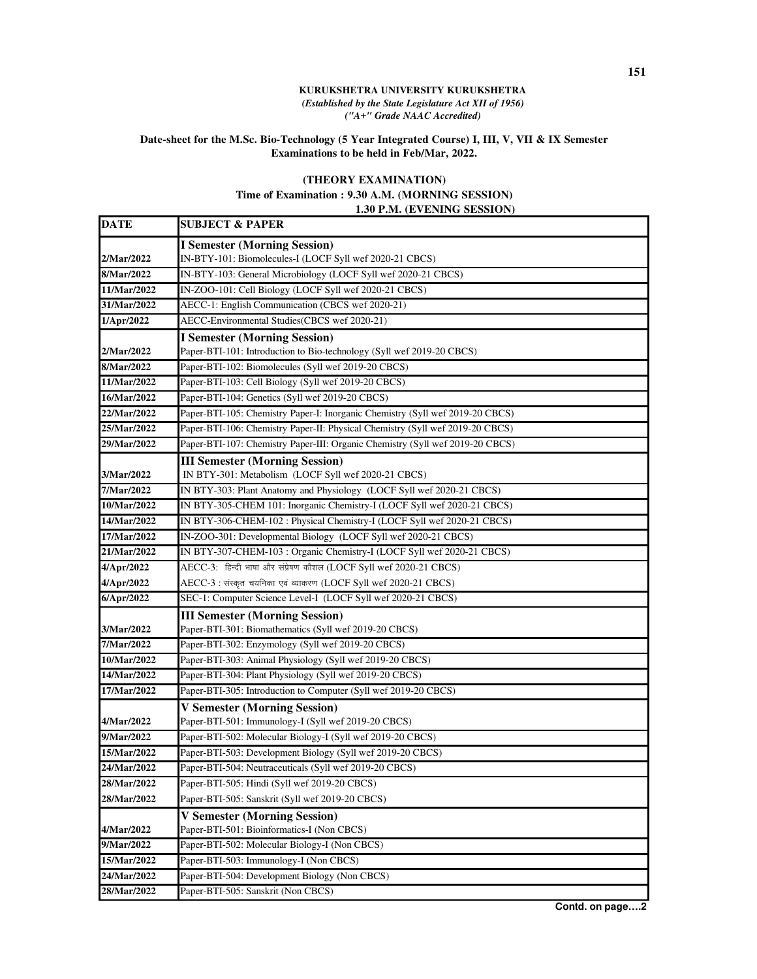## **KURUKSHETRA UNIVERSITY KURUKSHETRA**  *(Established by the State Legislature Act XII of 1956) ("A+" Grade NAAC Accredited)*

## **Date-sheet for the M.Sc. Bio-Technology (5 Year Integrated Course) I, III, V, VII & IX Semester Examinations to be held in Feb/Mar, 2022.**

## **(THEORY EXAMINATION)**

**Time of Examination : 9.30 A.M. (MORNING SESSION)**

 **1.30 P.M. (EVENING SESSION)**

| <b>DATE</b>        | <b>SUBJECT &amp; PAPER</b>                                                    |
|--------------------|-------------------------------------------------------------------------------|
|                    | <b>I Semester (Morning Session)</b>                                           |
| 2/Mar/2022         | IN-BTY-101: Biomolecules-I (LOCF Syll wef 2020-21 CBCS)                       |
| 8/Mar/2022         | IN-BTY-103: General Microbiology (LOCF Syll wef 2020-21 CBCS)                 |
| 11/Mar/2022        | IN-ZOO-101: Cell Biology (LOCF Syll wef 2020-21 CBCS)                         |
| 31/Mar/2022        | AECC-1: English Communication (CBCS wef 2020-21)                              |
| 1/Apr/2022         | AECC-Environmental Studies(CBCS wef 2020-21)                                  |
|                    | <b>I Semester (Morning Session)</b>                                           |
| 2/Mar/2022         | Paper-BTI-101: Introduction to Bio-technology (Syll wef 2019-20 CBCS)         |
| 8/Mar/2022         | Paper-BTI-102: Biomolecules (Syll wef 2019-20 CBCS)                           |
| 11/Mar/2022        | Paper-BTI-103: Cell Biology (Syll wef 2019-20 CBCS)                           |
| 16/Mar/2022        | Paper-BTI-104: Genetics (Syll wef 2019-20 CBCS)                               |
| 22/Mar/2022        | Paper-BTI-105: Chemistry Paper-I: Inorganic Chemistry (Syll wef 2019-20 CBCS) |
| 25/Mar/2022        | Paper-BTI-106: Chemistry Paper-II: Physical Chemistry (Syll wef 2019-20 CBCS) |
| 29/Mar/2022        | Paper-BTI-107: Chemistry Paper-III: Organic Chemistry (Syll wef 2019-20 CBCS) |
|                    | <b>III Semester (Morning Session)</b>                                         |
| 3/Mar/2022         | IN BTY-301: Metabolism (LOCF Syll wef 2020-21 CBCS)                           |
| 7/Mar/2022         | IN BTY-303: Plant Anatomy and Physiology (LOCF Syll wef 2020-21 CBCS)         |
| 10/Mar/2022        | IN BTY-305-CHEM 101: Inorganic Chemistry-I (LOCF Syll wef 2020-21 CBCS)       |
| 14/Mar/2022        | IN BTY-306-CHEM-102 : Physical Chemistry-I (LOCF Syll wef 2020-21 CBCS)       |
| 17/Mar/2022        | IN-ZOO-301: Developmental Biology (LOCF Syll wef 2020-21 CBCS)                |
| 21/Mar/2022        | IN BTY-307-CHEM-103 : Organic Chemistry-I (LOCF Syll wef 2020-21 CBCS)        |
| 4/Apr/2022         | AECC-3: हिन्दी भाषा और संप्रेषण कौशल (LOCF Syll wef 2020-21 CBCS)             |
| 4/Apr/2022         | AECC-3 : संस्कृत चयनिका एवं व्याकरण (LOCF Syll wef 2020-21 CBCS)              |
| 6/Apr/2022         | SEC-1: Computer Science Level-I (LOCF Syll wef 2020-21 CBCS)                  |
|                    | <b>III Semester (Morning Session)</b>                                         |
| 3/Mar/2022         | Paper-BTI-301: Biomathematics (Syll wef 2019-20 CBCS)                         |
| 7/Mar/2022         | Paper-BTI-302: Enzymology (Syll wef 2019-20 CBCS)                             |
| 10/Mar/2022        | Paper-BTI-303: Animal Physiology (Syll wef 2019-20 CBCS)                      |
| 14/Mar/2022        | Paper-BTI-304: Plant Physiology (Syll wef 2019-20 CBCS)                       |
| 17/Mar/2022        | Paper-BTI-305: Introduction to Computer (Syll wef 2019-20 CBCS)               |
|                    | <b>V Semester (Morning Session)</b>                                           |
| 4/Mar/2022         | Paper-BTI-501: Immunology-I (Syll wef 2019-20 CBCS)                           |
| 9/Mar/2022         | Paper-BTI-502: Molecular Biology-I (Syll wef 2019-20 CBCS)                    |
| 15/Mar/2022        | Paper-BTI-503: Development Biology (Syll wef 2019-20 CBCS)                    |
| 24/Mar/2022        | Paper-BTI-504: Neutraceuticals (Syll wef 2019-20 CBCS)                        |
| <b>28/Mar/2022</b> | Paper-BTI-505: Hindi (Syll wef 2019-20 CBCS)                                  |
| <b>28/Mar/2022</b> | Paper-BTI-505: Sanskrit (Syll wef 2019-20 CBCS)                               |
|                    | <b>V Semester (Morning Session)</b>                                           |
| <b>4/Mar/2022</b>  | Paper-BTI-501: Bioinformatics-I (Non CBCS)                                    |
| 9/Mar/2022         | Paper-BTI-502: Molecular Biology-I (Non CBCS)                                 |
| 15/Mar/2022        | Paper-BTI-503: Immunology-I (Non CBCS)                                        |
| 24/Mar/2022        | Paper-BTI-504: Development Biology (Non CBCS)                                 |
| 28/Mar/2022        | Paper-BTI-505: Sanskrit (Non CBCS)                                            |

**Contd. on page….2**